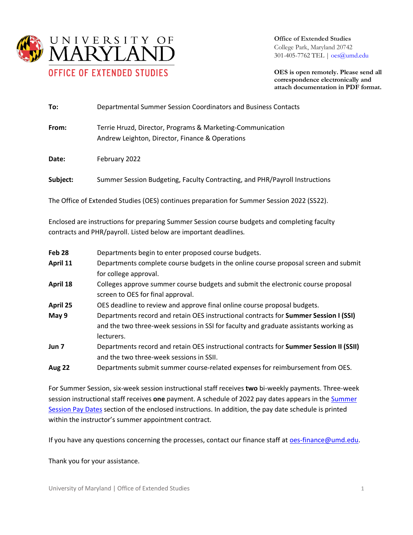

**Office of Extended Studies** College Park, Maryland 20742 301-405-7762 TEL [| oes@umd.edu](mailto:oes@umd.edu)

**OES is open remotely. Please send all correspondence electronically and attach documentation in PDF format.**

| To:      | Departmental Summer Session Coordinators and Business Contacts                                                |
|----------|---------------------------------------------------------------------------------------------------------------|
| From:    | Terrie Hruzd, Director, Programs & Marketing-Communication<br>Andrew Leighton, Director, Finance & Operations |
| Date:    | February 2022                                                                                                 |
| Subject: | Summer Session Budgeting, Faculty Contracting, and PHR/Payroll Instructions                                   |

The Office of Extended Studies (OES) continues preparation for Summer Session 2022 (SS22).

Enclosed are instructions for preparing Summer Session course budgets and completing faculty contracts and PHR/payroll. Listed below are important deadlines*.*

| Feb <sub>28</sub> | Departments begin to enter proposed course budgets.                                    |
|-------------------|----------------------------------------------------------------------------------------|
| April 11          | Departments complete course budgets in the online course proposal screen and submit    |
|                   | for college approval.                                                                  |
| April 18          | Colleges approve summer course budgets and submit the electronic course proposal       |
|                   | screen to OES for final approval.                                                      |
| April 25          | OES deadline to review and approve final online course proposal budgets.               |
| May 9             | Departments record and retain OES instructional contracts for Summer Session I (SSI)   |
|                   | and the two three-week sessions in SSI for faculty and graduate assistants working as  |
|                   | lecturers.                                                                             |
| Jun 7             | Departments record and retain OES instructional contracts for Summer Session II (SSII) |
|                   | and the two three-week sessions in SSII.                                               |
| <b>Aug 22</b>     | Departments submit summer course-related expenses for reimbursement from OES.          |

For Summer Session, six-week session instructional staff receives **two** bi-weekly payments. Three-week session instructional staff receives **one** payment. A schedule of 2022 pay dates appears in the [Summer](#page-5-0)  [Session Pay Dates](#page-5-0) section of the enclosed instructions. In addition, the pay date schedule is printed within the instructor's summer appointment contract.

If you have any questions concerning the processes, contact our finance staff a[t oes-finance@umd.edu.](mailto:oes-finance@umd.edu)

Thank you for your assistance.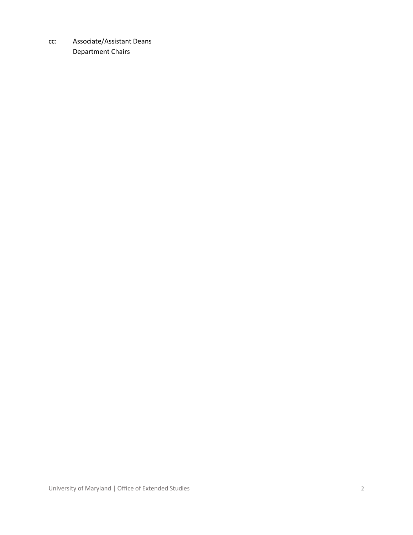cc: Associate/Assistant Deans Department Chairs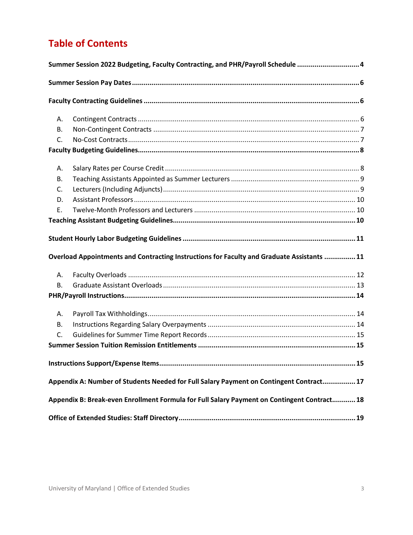# **Table of Contents**

| Summer Session 2022 Budgeting, Faculty Contracting, and PHR/Payroll Schedule  4 |                                                                                             |    |  |
|---------------------------------------------------------------------------------|---------------------------------------------------------------------------------------------|----|--|
|                                                                                 |                                                                                             |    |  |
|                                                                                 |                                                                                             |    |  |
| А.                                                                              |                                                                                             |    |  |
| В.                                                                              |                                                                                             |    |  |
| C.                                                                              |                                                                                             |    |  |
|                                                                                 |                                                                                             |    |  |
| А.                                                                              |                                                                                             |    |  |
| <b>B.</b>                                                                       |                                                                                             |    |  |
| C.                                                                              |                                                                                             |    |  |
| D.                                                                              |                                                                                             |    |  |
| E.                                                                              |                                                                                             |    |  |
|                                                                                 |                                                                                             |    |  |
|                                                                                 |                                                                                             |    |  |
|                                                                                 | Overload Appointments and Contracting Instructions for Faculty and Graduate Assistants  11  |    |  |
| Α.                                                                              |                                                                                             |    |  |
| В.                                                                              |                                                                                             |    |  |
|                                                                                 |                                                                                             |    |  |
| А.                                                                              |                                                                                             |    |  |
| В.                                                                              |                                                                                             |    |  |
| C.                                                                              |                                                                                             |    |  |
|                                                                                 |                                                                                             |    |  |
|                                                                                 | Instructions Support/Expense Items                                                          | 15 |  |
|                                                                                 | Appendix A: Number of Students Needed for Full Salary Payment on Contingent Contract 17     |    |  |
|                                                                                 | Appendix B: Break-even Enrollment Formula for Full Salary Payment on Contingent Contract 18 |    |  |
|                                                                                 |                                                                                             |    |  |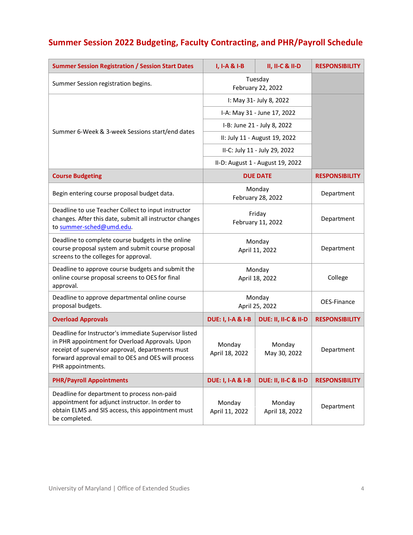# <span id="page-3-0"></span>**Summer Session 2022 Budgeting, Faculty Contracting, and PHR/Payroll Schedule**

| <b>Summer Session Registration / Session Start Dates</b>                                                                                                                                                                                | I, I-A & I-B                 | <b>II, II-C &amp; II-D</b>       | <b>RESPONSIBILITY</b> |
|-----------------------------------------------------------------------------------------------------------------------------------------------------------------------------------------------------------------------------------------|------------------------------|----------------------------------|-----------------------|
| Tuesday<br>Summer Session registration begins.<br>February 22, 2022                                                                                                                                                                     |                              |                                  |                       |
|                                                                                                                                                                                                                                         |                              | I: May 31- July 8, 2022          |                       |
|                                                                                                                                                                                                                                         | I-A: May 31 - June 17, 2022  |                                  |                       |
| Summer 6-Week & 3-week Sessions start/end dates                                                                                                                                                                                         |                              | I-B: June 21 - July 8, 2022      |                       |
|                                                                                                                                                                                                                                         |                              | II: July 11 - August 19, 2022    |                       |
|                                                                                                                                                                                                                                         |                              | II-C: July 11 - July 29, 2022    |                       |
|                                                                                                                                                                                                                                         |                              | II-D: August 1 - August 19, 2022 |                       |
| <b>Course Budgeting</b>                                                                                                                                                                                                                 |                              | <b>DUE DATE</b>                  | <b>RESPONSIBILITY</b> |
| Begin entering course proposal budget data.                                                                                                                                                                                             |                              | Monday<br>February 28, 2022      | Department            |
| Deadline to use Teacher Collect to input instructor<br>changes. After this date, submit all instructor changes<br>to summer-sched@umd.edu.                                                                                              | Friday<br>February 11, 2022  |                                  | Department            |
| Deadline to complete course budgets in the online<br>course proposal system and submit course proposal<br>screens to the colleges for approval.                                                                                         | Monday<br>April 11, 2022     |                                  | Department            |
| Deadline to approve course budgets and submit the<br>online course proposal screens to OES for final<br>approval.                                                                                                                       | Monday<br>April 18, 2022     |                                  | College               |
| Deadline to approve departmental online course<br>proposal budgets.                                                                                                                                                                     | Monday<br>April 25, 2022     |                                  | OES-Finance           |
| <b>Overload Approvals</b>                                                                                                                                                                                                               | <b>DUE: I, I-A &amp; I-B</b> | DUE: II, II-C & II-D             | <b>RESPONSIBILITY</b> |
| Deadline for Instructor's immediate Supervisor listed<br>in PHR appointment for Overload Approvals. Upon<br>receipt of supervisor approval, departments must<br>forward approval email to OES and OES will process<br>PHR appointments. | Monday<br>April 18, 2022     | Monday<br>May 30, 2022           | Department            |
| <b>PHR/Payroll Appointments</b>                                                                                                                                                                                                         | <b>DUE: I, I-A &amp; I-B</b> | <b>DUE: II, II-C &amp; II-D</b>  | <b>RESPONSIBILITY</b> |
| Deadline for department to process non-paid<br>appointment for adjunct instructor. In order to<br>obtain ELMS and SIS access, this appointment must<br>be completed.                                                                    | Monday<br>April 11, 2022     | Monday<br>April 18, 2022         | Department            |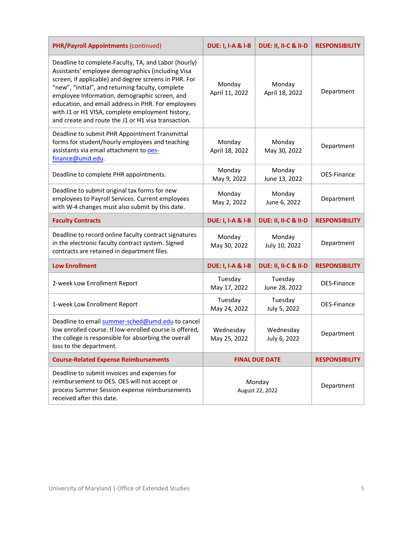| <b>PHR/Payroll Appointments (continued)</b>                                                                                                                                                                                                                                                                                                                                                                                               | <b>DUE: I, I-A &amp; I-B</b> | DUE: II, II-C & II-D      | <b>RESPONSIBILITY</b> |
|-------------------------------------------------------------------------------------------------------------------------------------------------------------------------------------------------------------------------------------------------------------------------------------------------------------------------------------------------------------------------------------------------------------------------------------------|------------------------------|---------------------------|-----------------------|
| Deadline to complete-Faculty, TA, and Labor (hourly)<br>Assistants' employee demographics (including Visa<br>screen, if applicable) and degree screens in PHR. For<br>"new", "initial", and returning faculty, complete<br>employee Information, demographic screen, and<br>education, and email address in PHR. For employees<br>with J1 or H1 VISA, complete employment history,<br>and create and route the J1 or H1 visa transaction. | Monday<br>April 11, 2022     | Monday<br>April 18, 2022  | Department            |
| Deadline to submit PHR Appointment Transmittal<br>forms for student/hourly employees and teaching<br>assistants via email attachment to oes-<br>finance@umd.edu                                                                                                                                                                                                                                                                           | Monday<br>April 18, 2022     | Monday<br>May 30, 2022    | Department            |
| Deadline to complete PHR appointments.                                                                                                                                                                                                                                                                                                                                                                                                    | Monday<br>May 9, 2022        | Monday<br>June 13, 2022   | OES-Finance           |
| Deadline to submit original tax forms for new<br>employees to Payroll Services. Current employees<br>with W-4 changes must also submit by this date.                                                                                                                                                                                                                                                                                      | Monday<br>May 2, 2022        | Monday<br>June 6, 2022    | Department            |
| <b>Faculty Contracts</b>                                                                                                                                                                                                                                                                                                                                                                                                                  | <b>DUE: I, I-A &amp; I-B</b> | DUE: II, II-C & II-D      | <b>RESPONSIBILITY</b> |
| Deadline to record online faculty contract signatures<br>in the electronic faculty contract system. Signed<br>contracts are retained in department files.                                                                                                                                                                                                                                                                                 | Monday<br>May 30, 2022       | Monday<br>July 10, 2022   | Department            |
| <b>Low Enrollment</b>                                                                                                                                                                                                                                                                                                                                                                                                                     | <b>DUE: I, I-A &amp; I-B</b> | DUE: II, II-C & II-D      | <b>RESPONSIBILITY</b> |
| 2-week Low Enrollment Report                                                                                                                                                                                                                                                                                                                                                                                                              | Tuesday<br>May 17, 2022      | Tuesday<br>June 28, 2022  | OES-Finance           |
| 1-week Low Enrollment Report                                                                                                                                                                                                                                                                                                                                                                                                              | Tuesday<br>May 24, 2022      | Tuesday<br>July 5, 2022   | OES-Finance           |
| Deadline to email summer-sched@umd.edu to cancel<br>low enrolled course. If low-enrolled course is offered,<br>the college is responsible for absorbing the overall<br>loss to the department.                                                                                                                                                                                                                                            | Wednesday<br>May 25, 2022    | Wednesday<br>July 6, 2022 | Department            |
| <b>Course-Related Expense Reimbursements</b>                                                                                                                                                                                                                                                                                                                                                                                              | <b>FINAL DUE DATE</b>        |                           | <b>RESPONSIBILITY</b> |
| Deadline to submit invoices and expenses for<br>reimbursement to OES. OES will not accept or<br>process Summer Session expense reimbursements<br>received after this date.                                                                                                                                                                                                                                                                | Monday<br>August 22, 2022    |                           | Department            |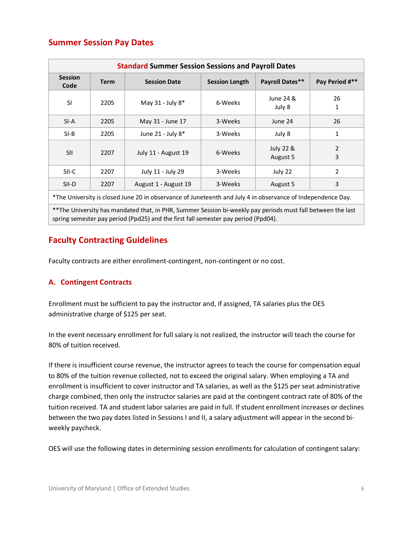# <span id="page-5-0"></span>**Summer Session Pay Dates**

| <b>Standard Summer Session Sessions and Payroll Dates</b>                                                   |                                      |                                |                                  |                     |                |
|-------------------------------------------------------------------------------------------------------------|--------------------------------------|--------------------------------|----------------------------------|---------------------|----------------|
| <b>Session</b><br><b>Term</b><br>Code                                                                       |                                      | <b>Session Date</b>            | <b>Session Length</b>            | Payroll Dates**     | Pay Period #** |
| <b>SI</b>                                                                                                   | 2205                                 | May 31 - July 8*               | 6-Weeks                          |                     | 26<br>1        |
| $SI-A$                                                                                                      | 2205                                 | May 31 - June 17<br>3-Weeks    |                                  | June 24             | 26             |
| $SI-B$                                                                                                      | 2205                                 | June 21 - July 8*              | 3-Weeks                          | July 8              | 1              |
| <b>SII</b>                                                                                                  | 2207                                 | July 11 - August 19<br>6-Weeks | <b>July 22 &amp;</b><br>August 5 | $\overline{2}$<br>3 |                |
| SII-C                                                                                                       | July 11 - July 29<br>2207<br>3-Weeks |                                | July 22                          | 2                   |                |
| SII-D                                                                                                       | 2207                                 | August 1 - August 19           | 3-Weeks                          | August 5            | 3              |
| *The University is closed June 20 in observance of Juneteenth and July 4 in observance of Independence Day. |                                      |                                |                                  |                     |                |

\*\*The University has mandated that, in PHR, Summer Session bi-weekly pay periods must fall between the last spring semester pay period (Ppd25) and the first fall semester pay period (Ppd04).

# <span id="page-5-1"></span>**Faculty Contracting Guidelines**

Faculty contracts are either enrollment-contingent, non-contingent or no cost.

# <span id="page-5-2"></span>**A. Contingent Contracts**

Enrollment must be sufficient to pay the instructor and, if assigned, TA salaries plus the OES administrative charge of \$125 per seat.

In the event necessary enrollment for full salary is not realized, the instructor will teach the course for 80% of tuition received.

If there is insufficient course revenue, the instructor agrees to teach the course for compensation equal to 80% of the tuition revenue collected, not to exceed the original salary. When employing a TA and enrollment is insufficient to cover instructor and TA salaries, as well as the \$125 per seat administrative charge combined, then only the instructor salaries are paid at the contingent contract rate of 80% of the tuition received. TA and student labor salaries are paid in full. If student enrollment increases or declines between the two pay dates listed in Sessions I and II, a salary adjustment will appear in the second biweekly paycheck.

OES will use the following dates in determining session enrollments for calculation of contingent salary: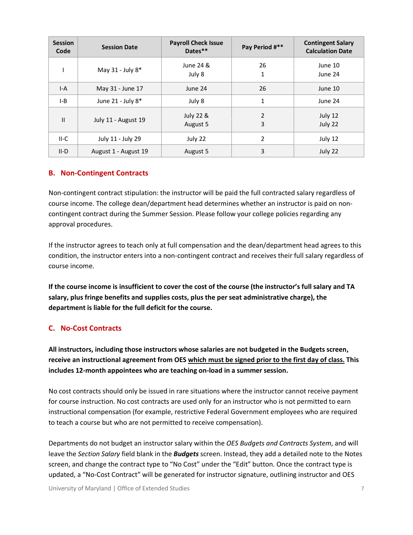| <b>Session</b><br>Code              | <b>Session Date</b>   | <b>Payroll Check Issue</b><br>Dates** | Pay Period #**     | <b>Contingent Salary</b><br><b>Calculation Date</b> |
|-------------------------------------|-----------------------|---------------------------------------|--------------------|-----------------------------------------------------|
|                                     | May 31 - July 8*      | June 24 &<br>July 8                   | 26<br>1            | June 10<br>June 24                                  |
| $I-A$                               | May 31 - June 17      | June 24                               | 26                 | June 10                                             |
| I-B                                 | June 21 - July 8*     | July 8                                | 1                  | June 24                                             |
| $\mathbf{H}$<br>July 11 - August 19 | July 22 &<br>August 5 | $\overline{2}$<br>3                   | July 12<br>July 22 |                                                     |
| $II-C$                              | July 11 - July 29     | July 22                               | 2                  | July 12                                             |
| $II-D$                              | August 1 - August 19  | August 5                              | 3                  | July 22                                             |

### <span id="page-6-0"></span>**B. Non-Contingent Contracts**

Non-contingent contract stipulation: the instructor will be paid the full contracted salary regardless of course income. The college dean/department head determines whether an instructor is paid on noncontingent contract during the Summer Session. Please follow your college policies regarding any approval procedures.

If the instructor agrees to teach only at full compensation and the dean/department head agrees to this condition, the instructor enters into a non-contingent contract and receives their full salary regardless of course income.

**If the course income is insufficient to cover the cost of the course (the instructor's full salary and TA salary, plus fringe benefits and supplies costs, plus the per seat administrative charge), the department is liable for the full deficit for the course.**

### <span id="page-6-1"></span>**C. No-Cost Contracts**

**All instructors, including those instructors whose salaries are not budgeted in the Budgets screen, receive an instructional agreement from OES which must be signed prior to the first day of class. This includes 12-month appointees who are teaching on-load in a summer session.** 

No cost contracts should only be issued in rare situations where the instructor cannot receive payment for course instruction. No cost contracts are used only for an instructor who is not permitted to earn instructional compensation (for example, restrictive Federal Government employees who are required to teach a course but who are not permitted to receive compensation).

Departments do not budget an instructor salary within the *OES Budgets and Contracts System*, and will leave the *Section Salary* field blank in the *Budgets* screen. Instead, they add a detailed note to the Notes screen, and change the contract type to "No Cost" under the "Edit" button. Once the contract type is updated, a "No-Cost Contract" will be generated for instructor signature, outlining instructor and OES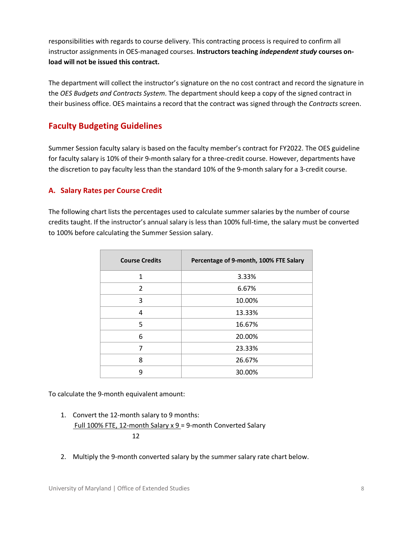responsibilities with regards to course delivery. This contracting process is required to confirm all instructor assignments in OES-managed courses. **Instructors teaching** *independent study* **courses onload will not be issued this contract.**

The department will collect the instructor's signature on the no cost contract and record the signature in the *OES Budgets and Contracts System*. The department should keep a copy of the signed contract in their business office. OES maintains a record that the contract was signed through the *Contracts* screen.

# <span id="page-7-0"></span>**Faculty Budgeting Guidelines**

Summer Session faculty salary is based on the faculty member's contract for FY2022. The OES guideline for faculty salary is 10% of their 9-month salary for a three-credit course. However, departments have the discretion to pay faculty less than the standard 10% of the 9-month salary for a 3-credit course.

## <span id="page-7-1"></span>**A. Salary Rates per Course Credit**

The following chart lists the percentages used to calculate summer salaries by the number of course credits taught. If the instructor's annual salary is less than 100% full-time, the salary must be converted to 100% before calculating the Summer Session salary.

| <b>Course Credits</b> | Percentage of 9-month, 100% FTE Salary |
|-----------------------|----------------------------------------|
| 1                     | 3.33%                                  |
| 2                     | 6.67%                                  |
| 3                     | 10.00%                                 |
| 4                     | 13.33%                                 |
| 5                     | 16.67%                                 |
| 6                     | 20.00%                                 |
| 7                     | 23.33%                                 |
| 8                     | 26.67%                                 |
| q                     | 30.00%                                 |

To calculate the 9-month equivalent amount:

- 1. Convert the 12-month salary to 9 months: Full 100% FTE, 12-month Salary x 9 = 9-month Converted Salary  $12$ 
	- 2. Multiply the 9-month converted salary by the summer salary rate chart below.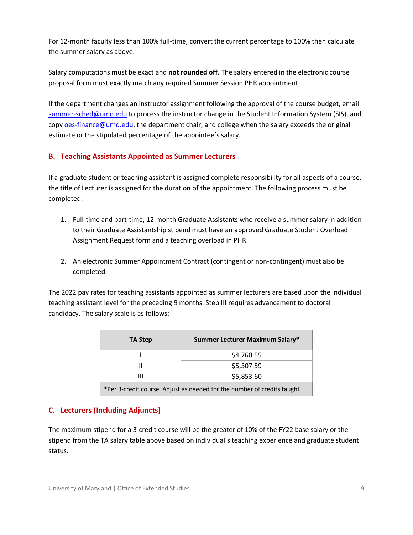For 12-month faculty less than 100% full-time, convert the current percentage to 100% then calculate the summer salary as above.

Salary computations must be exact and **not rounded off**. The salary entered in the electronic course proposal form must exactly match any required Summer Session PHR appointment.

If the department changes an instructor assignment following the approval of the course budget, email [summer-sched@umd.edu](mailto:summer-sched@umd.edu) to process the instructor change in the Student Information System (SIS), and cop[y oes-finance@umd.edu,](mailto:oes-finance@umd.edu) the department chair, and college when the salary exceeds the original estimate or the stipulated percentage of the appointee's salary.

## <span id="page-8-0"></span>**B. Teaching Assistants Appointed as Summer Lecturers**

If a graduate student or teaching assistant is assigned complete responsibility for all aspects of a course, the title of Lecturer is assigned for the duration of the appointment. The following process must be completed:

- 1. Full-time and part-time, 12-month Graduate Assistants who receive a summer salary in addition to their Graduate Assistantship stipend must have an approved Graduate Student Overload Assignment Request form and a teaching overload in PHR.
- 2. An electronic Summer Appointment Contract (contingent or non-contingent) must also be completed.

The 2022 pay rates for teaching assistants appointed as summer lecturers are based upon the individual teaching assistant level for the preceding 9 months. Step III requires advancement to doctoral candidacy. The salary scale is as follows:

| TA Step                                                                  | Summer Lecturer Maximum Salary* |  |
|--------------------------------------------------------------------------|---------------------------------|--|
|                                                                          | \$4,760.55                      |  |
|                                                                          | \$5,307.59                      |  |
| Ш                                                                        | \$5,853.60                      |  |
| *Per 3-credit course. Adjust as needed for the number of credits taught. |                                 |  |

# <span id="page-8-1"></span>**C. Lecturers (Including Adjuncts)**

The maximum stipend for a 3-credit course will be the greater of 10% of the FY22 base salary or the stipend from the TA salary table above based on individual's teaching experience and graduate student status.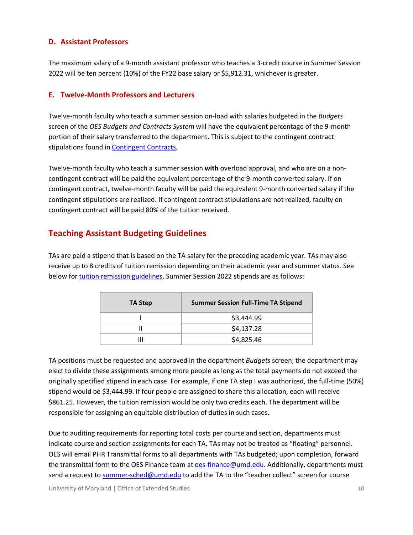#### <span id="page-9-0"></span>**D. Assistant Professors**

The maximum salary of a 9-month assistant professor who teaches a 3-credit course in Summer Session 2022 will be ten percent (10%) of the FY22 base salary or \$5,912.31, whichever is greater.

#### <span id="page-9-1"></span>**E. Twelve-Month Professors and Lecturers**

Twelve-month faculty who teach a summer session on-load with salaries budgeted in the *Budgets* screen of the *OES Budgets and Contracts System* will have the equivalent percentage of the 9-month portion of their salary transferred to the department**.** This is subject to the contingent contract stipulations found in [Contingent Contracts.](#page-5-2)

Twelve-month faculty who teach a summer session **with** overload approval, and who are on a noncontingent contract will be paid the equivalent percentage of the 9-month converted salary. If on contingent contract, twelve-month faculty will be paid the equivalent 9-month converted salary if the contingent stipulations are realized. If contingent contract stipulations are not realized, faculty on contingent contract will be paid 80% of the tuition received.

# <span id="page-9-2"></span>**Teaching Assistant Budgeting Guidelines**

TAs are paid a stipend that is based on the TA salary for the preceding academic year. TAs may also receive up to 8 credits of tuition remission depending on their academic year and summer status. See below for [tuition remission guidelines.](#page-14-1) Summer Session 2022 stipends are as follows:

| TA Step |   | <b>Summer Session Full-Time TA Stipend</b> |  |
|---------|---|--------------------------------------------|--|
|         |   | \$3,444.99                                 |  |
|         |   | \$4,137.28                                 |  |
|         | Ш | \$4,825.46                                 |  |

TA positions must be requested and approved in the department *Budgets* screen; the department may elect to divide these assignments among more people as long as the total payments do not exceed the originally specified stipend in each case. For example, if one TA step I was authorized, the full-time (50%) stipend would be \$3,444.99. If four people are assigned to share this allocation, each will receive \$861.25. However, the tuition remission would be only two credits each. The department will be responsible for assigning an equitable distribution of duties in such cases.

Due to auditing requirements for reporting total costs per course and section, departments must indicate course and section assignments for each TA. TAs may not be treated as "floating" personnel. OES will email PHR Transmittal forms to all departments with TAs budgeted; upon completion, forward the transmittal form to the OES Finance team at [oes-finance@umd.edu.](mailto:oes-finance@umd.edu) Additionally, departments must send a request to [summer-sched@umd.edu](mailto:summer-sched@umd.edu) to add the TA to the "teacher collect" screen for course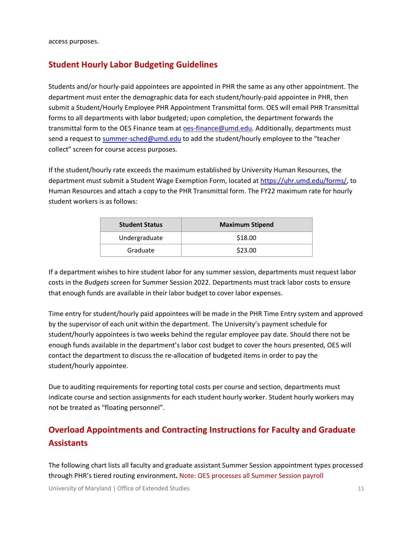access purposes.

# <span id="page-10-0"></span>**Student Hourly Labor Budgeting Guidelines**

Students and/or hourly-paid appointees are appointed in PHR the same as any other appointment. The department must enter the demographic data for each student/hourly-paid appointee in PHR, then submit a Student/Hourly Employee PHR Appointment Transmittal form. OES will email PHR Transmittal forms to all departments with labor budgeted; upon completion, the department forwards the transmittal form to the OES Finance team at [oes-finance@umd.edu.](mailto:oes-finance@umd.edu) Additionally, departments must send a request to [summer-sched@umd.edu](mailto:summer-sched@umd.edu) to add the student/hourly employee to the "teacher collect" screen for course access purposes.

If the student/hourly rate exceeds the maximum established by University Human Resources, the department must submit a Student Wage Exemption Form, located at [https://uhr.umd.edu/forms/,](https://uhr.umd.edu/forms/) to Human Resources and attach a copy to the PHR Transmittal form. The FY22 maximum rate for hourly student workers is as follows:

| <b>Student Status</b> | <b>Maximum Stipend</b> |
|-----------------------|------------------------|
| Undergraduate         | \$18.00                |
| Graduate              | \$23.00                |

If a department wishes to hire student labor for any summer session, departments must request labor costs in the *Budgets* screen for Summer Session 2022. Departments must track labor costs to ensure that enough funds are available in their labor budget to cover labor expenses.

Time entry for student/hourly paid appointees will be made in the PHR Time Entry system and approved by the supervisor of each unit within the department. The University's payment schedule for student/hourly appointees is two weeks behind the regular employee pay date. Should there not be enough funds available in the department's labor cost budget to cover the hours presented, OES will contact the department to discuss the re-allocation of budgeted items in order to pay the student/hourly appointee.

Due to auditing requirements for reporting total costs per course and section, departments must indicate course and section assignments for each student hourly worker. Student hourly workers may not be treated as "floating personnel".

# <span id="page-10-1"></span>**Overload Appointments and Contracting Instructions for Faculty and Graduate Assistants**

The following chart lists all faculty and graduate assistant Summer Session appointment types processed through PHR's tiered routing environment**.** Note: OES processes all Summer Session payroll

University of Maryland | Office of Extended Studies 11 11 11 12 11 12 11 12 11 12 11 12 11 12 11 12 11 12 11 1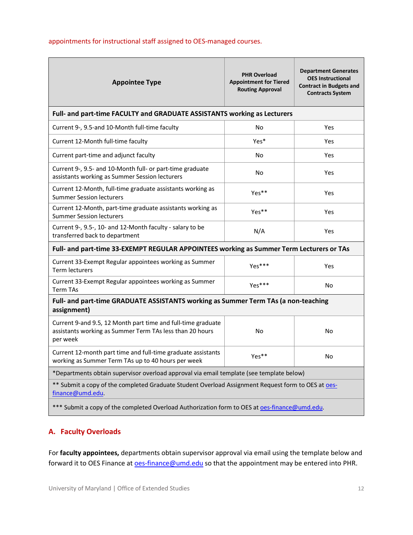#### appointments for instructional staff assigned to OES-managed courses.

| <b>Appointee Type</b>                                                                                                                | <b>PHR Overload</b><br><b>Appointment for Tiered</b><br><b>Routing Approval</b> | <b>Department Generates</b><br><b>OES Instructional</b><br><b>Contract in Budgets and</b><br><b>Contracts System</b> |  |  |
|--------------------------------------------------------------------------------------------------------------------------------------|---------------------------------------------------------------------------------|----------------------------------------------------------------------------------------------------------------------|--|--|
| Full- and part-time FACULTY and GRADUATE ASSISTANTS working as Lecturers                                                             |                                                                                 |                                                                                                                      |  |  |
| Current 9-, 9.5-and 10-Month full-time faculty                                                                                       | No                                                                              | Yes                                                                                                                  |  |  |
| Current 12-Month full-time faculty                                                                                                   | Yes*                                                                            | Yes                                                                                                                  |  |  |
| Current part-time and adjunct faculty                                                                                                | No                                                                              | Yes                                                                                                                  |  |  |
| Current 9-, 9.5- and 10-Month full- or part-time graduate<br>assistants working as Summer Session lecturers                          | No                                                                              | Yes                                                                                                                  |  |  |
| Current 12-Month, full-time graduate assistants working as<br><b>Summer Session lecturers</b>                                        | Yes**                                                                           | Yes                                                                                                                  |  |  |
| Current 12-Month, part-time graduate assistants working as<br><b>Summer Session lecturers</b>                                        | Yes**                                                                           | Yes                                                                                                                  |  |  |
| Current 9-, 9.5-, 10- and 12-Month faculty - salary to be<br>transferred back to department                                          | N/A                                                                             | Yes                                                                                                                  |  |  |
| Full- and part-time 33-EXEMPT REGULAR APPOINTEES working as Summer Term Lecturers or TAs                                             |                                                                                 |                                                                                                                      |  |  |
| Current 33-Exempt Regular appointees working as Summer<br><b>Term lecturers</b>                                                      | Yes***                                                                          | Yes                                                                                                                  |  |  |
| Current 33-Exempt Regular appointees working as Summer<br><b>Term TAs</b>                                                            | $Yes***$                                                                        | No                                                                                                                   |  |  |
| Full- and part-time GRADUATE ASSISTANTS working as Summer Term TAs (a non-teaching<br>assignment)                                    |                                                                                 |                                                                                                                      |  |  |
| Current 9-and 9.5, 12 Month part time and full-time graduate<br>assistants working as Summer Term TAs less than 20 hours<br>per week | No                                                                              | No                                                                                                                   |  |  |
| Current 12-month part time and full-time graduate assistants<br>working as Summer Term TAs up to 40 hours per week                   | Yes**                                                                           | No                                                                                                                   |  |  |
| *Departments obtain supervisor overload approval via email template (see template below)                                             |                                                                                 |                                                                                                                      |  |  |
| ** Submit a copy of the completed Graduate Student Overload Assignment Request form to OES at oes-<br>finance@umd.edu                |                                                                                 |                                                                                                                      |  |  |
| *** Submit a copy of the completed Overload Authorization form to OES at oes-finance@umd.edu.                                        |                                                                                 |                                                                                                                      |  |  |

## <span id="page-11-0"></span>**A. Faculty Overloads**

For **faculty appointees,** departments obtain supervisor approval via email using the template below and forward it to OES Finance at **oes-finance@umd.edu** so that the appointment may be entered into PHR.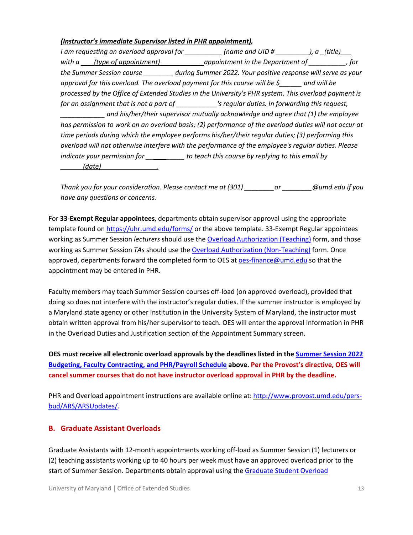#### *(Instructor's immediate Supervisor listed in PHR appointment),*

*I* am requesting an overload approval for \_\_\_\_\_\_\_\_\_\_\_\_(name and UID # \_\_\_\_\_\_\_\_\_\_), a \_(title)\_\_\_\_ with a <u>fivpe of appointment)</u> appointment in the Department of **with a** same of appointment of  $\overline{\phantom{a}}$ , for *the Summer Session course \_\_\_\_\_\_\_\_ during Summer 2022. Your positive response will serve as your approval for this overload. The overload payment for this course will be \$\_\_\_\_\_\_ and will be processed by the Office of Extended Studies in the University's PHR system. This overload payment is for an assignment that is not a part of \_\_\_\_\_\_\_\_\_\_\_'s regular duties. In forwarding this request, \_\_\_\_\_\_\_\_\_\_\_\_ and his/her/their supervisor mutually acknowledge and agree that (1) the employee has permission to work on an overload basis; (2) performance of the overload duties will not occur at time periods during which the employee performs his/her/their regular duties; (3) performing this overload will not otherwise interfere with the performance of the employee's regular duties. Please indicate your permission for \_\_\_\_\_ \_\_\_\_\_ to teach this course by replying to this email by \_\_\_\_\_\_(date)\_\_\_\_\_\_\_\_\_\_\_\_\_\_\_.*

*Thank you for your consideration. Please contact me at (301) \_\_\_\_\_\_\_\_or \_\_\_\_\_\_\_\_@umd.edu if you have any questions or concerns.*

For **33-Exempt Regular appointees**, departments obtain supervisor approval using the appropriate template found on<https://uhr.umd.edu/forms/> or the above template. 33-Exempt Regular appointees working as Summer Session *lecturers* should use th[e Overload Authorization \(Teaching\)](https://umd.box.com/shared/static/b0v0e5a1hghxneborq7f6y8vx18c62ci.pdf) form, and those working as Summer Session *TAs* should use the [Overload Authorization \(Non-Teaching\)](https://umd.box.com/shared/static/rhy6g3733rkge832mx6wg37alrwa5xqx.pdf) form. Once approved, departments forward the completed form to OES at [oes-finance@umd.edu](mailto:oes-finance@umd.edu) so that the appointment may be entered in PHR.

Faculty members may teach Summer Session courses off-load (on approved overload), provided that doing so does not interfere with the instructor's regular duties. If the summer instructor is employed by a Maryland state agency or other institution in the University System of Maryland, the instructor must obtain written approval from his/her supervisor to teach. OES will enter the approval information in PHR in the Overload Duties and Justification section of the Appointment Summary screen.

**OES must receive all electronic overload approvals by the deadlines listed in the [Summer Session 2022](#page-3-0)  [Budgeting, Faculty Contracting, and PHR/Payroll Schedule](#page-3-0) above. Per the Provost's directive, OES will cancel summer courses that do not have instructor overload approval in PHR by the deadline.**

PHR and Overload appointment instructions are available online at[: http://www.provost.umd.edu/pers](http://www.provost.umd.edu/pers-bud/ARS/ARSUpdates/)[bud/ARS/ARSUpdates/.](http://www.provost.umd.edu/pers-bud/ARS/ARSUpdates/)

### <span id="page-12-0"></span>**B. Graduate Assistant Overloads**

Graduate Assistants with 12-month appointments working off-load as Summer Session (1) lecturers or (2) teaching assistants working up to 40 hours per week must have an approved overload prior to the start of Summer Session. Departments obtain approval using the Graduate Student Overload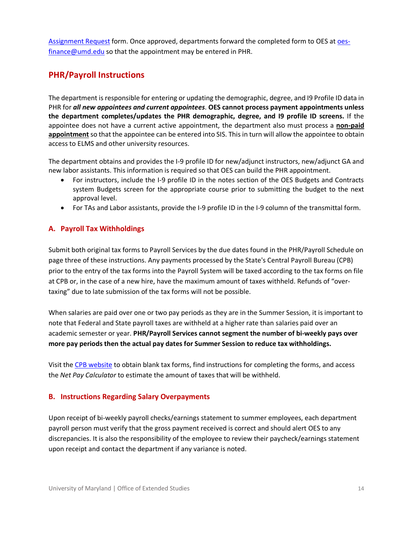[Assignment Request](https://gradschool.umd.edu/sites/gradschool.umd.edu/files/uploads/Forms/graduate_student_overload_assignment_request.pdf) form. Once approved, departments forward the completed form to OES at [oes](mailto:oes-finance@umd.edu)[finance@umd.edu](mailto:oes-finance@umd.edu) so that the appointment may be entered in PHR.

# <span id="page-13-0"></span>**PHR/Payroll Instructions**

The department is responsible for entering or updating the demographic, degree, and I9 Profile ID data in PHR for *all new appointees and current appointees*. **OES cannot process payment appointments unless the department completes/updates the PHR demographic, degree, and I9 profile ID screens.** If the appointee does not have a current active appointment, the department also must process a **non-paid appointment** so that the appointee can be entered into SIS. This in turn will allow the appointee to obtain access to ELMS and other university resources.

The department obtains and provides the I-9 profile ID for new/adjunct instructors, new/adjunct GA and new labor assistants. This information is required so that OES can build the PHR appointment.

- For instructors, include the I-9 profile ID in the notes section of the OES Budgets and Contracts system Budgets screen for the appropriate course prior to submitting the budget to the next approval level.
- For TAs and Labor assistants, provide the I-9 profile ID in the I-9 column of the transmittal form.

## <span id="page-13-1"></span>**A. Payroll Tax Withholdings**

Submit both original tax forms to Payroll Services by the due dates found in the PHR/Payroll Schedule on page three of these instructions. Any payments processed by the State's Central Payroll Bureau (CPB) prior to the entry of the tax forms into the Payroll System will be taxed according to the tax forms on file at CPB or, in the case of a new hire, have the maximum amount of taxes withheld. Refunds of "overtaxing" due to late submission of the tax forms will not be possible.

When salaries are paid over one or two pay periods as they are in the Summer Session, it is important to note that Federal and State payroll taxes are withheld at a higher rate than salaries paid over an academic semester or year. **PHR/Payroll Services cannot segment the number of bi-weekly pays over more pay periods then the actual pay dates for Summer Session to reduce tax withholdings.**

Visit the [CPB website](https://www.marylandtaxes.gov/) to obtain blank tax forms, find instructions for completing the forms, and access the *Net Pay Calculator* to estimate the amount of taxes that will be withheld.

### <span id="page-13-2"></span>**B. Instructions Regarding Salary Overpayments**

Upon receipt of bi-weekly payroll checks/earnings statement to summer employees, each department payroll person must verify that the gross payment received is correct and should alert OES to any discrepancies. It is also the responsibility of the employee to review their paycheck/earnings statement upon receipt and contact the department if any variance is noted.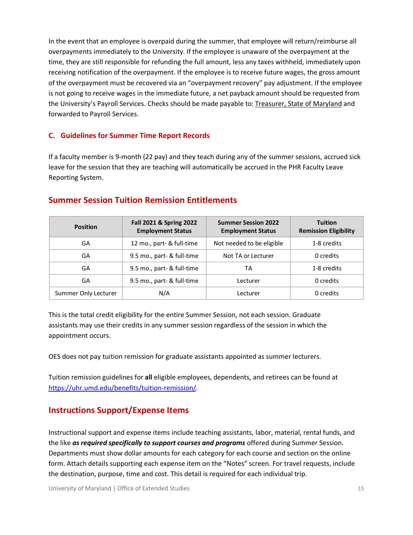In the event that an employee is overpaid during the summer, that employee will return/reimburse all overpayments immediately to the University. If the employee is unaware of the overpayment at the time, they are still responsible for refunding the full amount, less any taxes withheld, immediately upon receiving notification of the overpayment. If the employee is to receive future wages, the gross amount of the overpayment must be recovered via an "overpayment recovery" pay adjustment. If the employee is not going to receive wages in the immediate future, a net payback amount should be requested from the University's Payroll Services. Checks should be made payable to: Treasurer, State of Maryland and forwarded to Payroll Services.

#### <span id="page-14-0"></span>**C. Guidelines for Summer Time Report Records**

If a faculty member is 9-month (22 pay) and they teach during any of the summer sessions, accrued sick leave for the session that they are teaching will automatically be accrued in the PHR Faculty Leave Reporting System.

# <span id="page-14-1"></span>**Summer Session Tuition Remission Entitlements**

| <b>Position</b>      | Fall 2021 & Spring 2022<br><b>Employment Status</b> | <b>Summer Session 2022</b><br><b>Employment Status</b> | <b>Tuition</b><br><b>Remission Eligibility</b> |
|----------------------|-----------------------------------------------------|--------------------------------------------------------|------------------------------------------------|
| GA                   | 12 mo., part- & full-time                           | Not needed to be eligible                              | 1-8 credits                                    |
| GA                   | 9.5 mo., part- & full-time                          | Not TA or Lecturer                                     | 0 credits                                      |
| GA                   | 9.5 mo., part- & full-time                          | ТA                                                     | 1-8 credits                                    |
| GA                   | 9.5 mo., part- & full-time                          | Lecturer                                               | 0 credits                                      |
| Summer Only Lecturer | N/A                                                 | Lecturer                                               | 0 credits                                      |

This is the total credit eligibility for the entire Summer Session, not each session. Graduate assistants may use their credits in any summer session regardless of the session in which the appointment occurs.

OES does not pay tuition remission for graduate assistants appointed as summer lecturers.

Tuition remission guidelines for **all** eligible employees, dependents, and retirees can be found at [https://uhr.umd.edu/benefits/tuition-remission/.](https://uhr.umd.edu/benefits/tuition-remission/)

# <span id="page-14-2"></span>**Instructions Support/Expense Items**

Instructional support and expense items include teaching assistants, labor, material, rental funds, and the like *as required specifically to support courses and programs* offered during Summer Session. Departments must show dollar amounts for each category for each course and section on the online form. Attach details supporting each expense item on the "Notes" screen. For travel requests, include the destination, purpose, time and cost. This detail is required for each individual trip.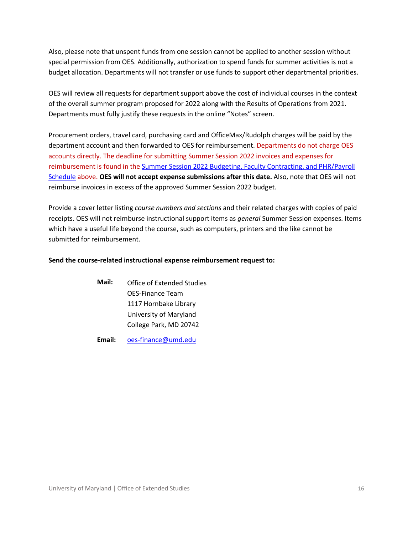Also, please note that unspent funds from one session cannot be applied to another session without special permission from OES. Additionally, authorization to spend funds for summer activities is not a budget allocation. Departments will not transfer or use funds to support other departmental priorities.

OES will review all requests for department support above the cost of individual courses in the context of the overall summer program proposed for 2022 along with the Results of Operations from 2021. Departments must fully justify these requests in the online "Notes" screen.

Procurement orders, travel card, purchasing card and OfficeMax/Rudolph charges will be paid by the department account and then forwarded to OES for reimbursement. Departments do not charge OES accounts directly. The deadline for submitting Summer Session 2022 invoices and expenses for reimbursement is found in the [Summer Session 2022 Budgeting, Faculty Contracting, and PHR/Payroll](#page-3-0)  [Schedule](#page-3-0) above. **OES will not accept expense submissions after this date.** Also, note that OES will not reimburse invoices in excess of the approved Summer Session 2022 budget.

Provide a cover letter listing *course numbers and sections* and their related charges with copies of paid receipts. OES will not reimburse instructional support items as *general* Summer Session expenses. Items which have a useful life beyond the course, such as computers, printers and the like cannot be submitted for reimbursement.

#### **Send the course-related instructional expense reimbursement request to:**

**Mail:** Office of Extended Studies OES-Finance Team 1117 Hornbake Library University of Maryland College Park, MD 20742

**Email:** [oes-finance@umd.edu](mailto:oes-finance@umd.edu)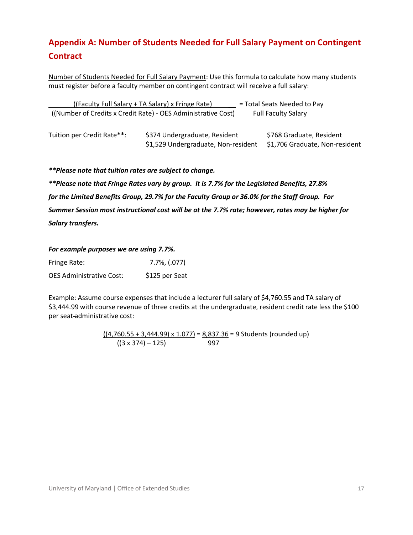# <span id="page-16-0"></span>**Appendix A: Number of Students Needed for Full Salary Payment on Contingent Contract**

Number of Students Needed for Full Salary Payment: Use this formula to calculate how many students must register before a faculty member on contingent contract will receive a full salary:

 ((Faculty Full Salary + TA Salary) x Fringe Rate) \_\_ = Total Seats Needed to Pay ((Number of Credits x Credit Rate) - OES Administrative Cost) Full Faculty Salary

| Tuition per Credit Rate**: | \$374 Undergraduate, Resident       | \$768 Graduate, Resident       |
|----------------------------|-------------------------------------|--------------------------------|
|                            | \$1,529 Undergraduate, Non-resident | \$1,706 Graduate, Non-resident |

*\*\*Please note that tuition rates are subject to change.*

*\*\*Please note that Fringe Rates vary by group. It is 7.7% for the Legislated Benefits, 27.8% for the Limited Benefits Group, 29.7% for the Faculty Group or 36.0% for the Staff Group. For Summer Session most instructional cost will be at the 7.7% rate; however, rates may be higher for Salary transfers.*

#### *For example purposes we are using 7.7%.*

| Fringe Rate:                    | 7.7%, (.077)   |
|---------------------------------|----------------|
| <b>OES Administrative Cost:</b> | \$125 per Seat |

Example: Assume course expenses that include a lecturer full salary of \$4,760.55 and TA salary of \$3,444.99 with course revenue of three credits at the undergraduate, resident credit rate less the \$100 per seat administrative cost:

> $((4,760.55 + 3,444.99) \times 1.077) = 8,837.36 = 9$  Students (rounded up)  $((3 \times 374) - 125)$  997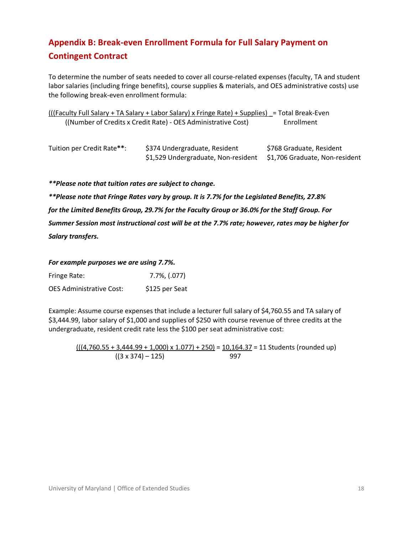# <span id="page-17-0"></span>**Appendix B: Break-even Enrollment Formula for Full Salary Payment on Contingent Contract**

To determine the number of seats needed to cover all course-related expenses (faculty, TA and student labor salaries (including fringe benefits), course supplies & materials, and OES administrative costs) use the following break-even enrollment formula:

(((Faculty Full Salary + TA Salary + Labor Salary) x Fringe Rate) + Supplies) \_= Total Break-Even ((Number of Credits x Credit Rate) - OES Administrative Cost) Enrollment

| Tuition per Credit Rate**: | \$374 Undergraduate, Resident                                      | \$768 Graduate, Resident |
|----------------------------|--------------------------------------------------------------------|--------------------------|
|                            | \$1,529 Undergraduate, Non-resident \$1,706 Graduate, Non-resident |                          |

*\*\*Please note that tuition rates are subject to change.*

*\*\*Please note that Fringe Rates vary by group. It is 7.7% for the Legislated Benefits, 27.8% for the Limited Benefits Group, 29.7% for the Faculty Group or 36.0% for the Staff Group. For Summer Session most instructional cost will be at the 7.7% rate; however, rates may be higher for Salary transfers.*

*For example purposes we are using 7.7%.*

| Fringe Rate:                    | $7.7\%$ , $(.077)$ |
|---------------------------------|--------------------|
| <b>OES Administrative Cost:</b> | \$125 per Seat     |

Example: Assume course expenses that include a lecturer full salary of \$4,760.55 and TA salary of \$3,444.99, labor salary of \$1,000 and supplies of \$250 with course revenue of three credits at the undergraduate, resident credit rate less the \$100 per seat administrative cost:

 $(((4,760.55 + 3,444.99 + 1,000) \times 1.077) + 250) = 10,164.37 = 11$  Students (rounded up)  $((3 \times 374) - 125)$  997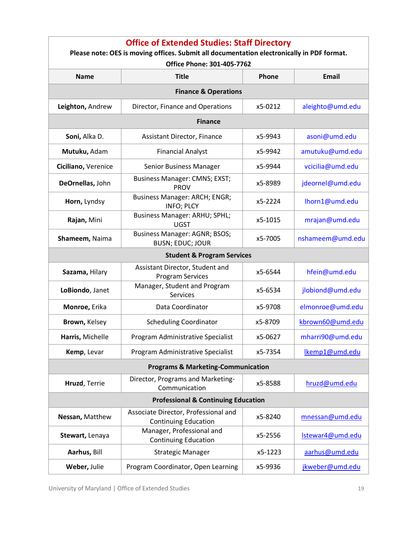<span id="page-18-0"></span>

| <b>Office of Extended Studies: Staff Directory</b><br>Please note: OES is moving offices. Submit all documentation electronically in PDF format.<br>Office Phone: 301-405-7762 |                                                                     |         |                  |
|--------------------------------------------------------------------------------------------------------------------------------------------------------------------------------|---------------------------------------------------------------------|---------|------------------|
| <b>Name</b>                                                                                                                                                                    | <b>Title</b>                                                        | Phone   | <b>Email</b>     |
|                                                                                                                                                                                | <b>Finance &amp; Operations</b>                                     |         |                  |
| Leighton, Andrew                                                                                                                                                               | Director, Finance and Operations                                    | x5-0212 | aleighto@umd.edu |
|                                                                                                                                                                                | <b>Finance</b>                                                      |         |                  |
| Soni, Alka D.                                                                                                                                                                  | Assistant Director, Finance                                         | x5-9943 | asoni@umd.edu    |
| Mutuku, Adam                                                                                                                                                                   | <b>Financial Analyst</b>                                            | x5-9942 | amutuku@umd.edu  |
| Ciciliano, Verenice                                                                                                                                                            | Senior Business Manager                                             | x5-9944 | vcicilia@umd.edu |
| DeOrnellas, John                                                                                                                                                               | Business Manager: CMNS; EXST;<br><b>PROV</b>                        | x5-8989 | jdeornel@umd.edu |
| Horn, Lyndsy                                                                                                                                                                   | Business Manager: ARCH; ENGR;<br><b>INFO; PLCY</b>                  | x5-2224 | lhorn1@umd.edu   |
| Rajan, Mini                                                                                                                                                                    | Business Manager: ARHU; SPHL;<br><b>UGST</b>                        | x5-1015 | mrajan@umd.edu   |
| Shameem, Naima                                                                                                                                                                 | Business Manager: AGNR; BSOS;<br><b>BUSN; EDUC; JOUR</b>            | x5-7005 | nshameem@umd.edu |
|                                                                                                                                                                                | <b>Student &amp; Program Services</b>                               |         |                  |
| Sazama, Hilary                                                                                                                                                                 | Assistant Director, Student and<br><b>Program Services</b>          | x5-6544 | hfein@umd.edu    |
| LoBiondo, Janet                                                                                                                                                                | Manager, Student and Program<br>Services                            | x5-6534 | jlobiond@umd.edu |
| Monroe, Erika                                                                                                                                                                  | Data Coordinator                                                    | x5-9708 | elmonroe@umd.edu |
| Brown, Kelsey                                                                                                                                                                  | <b>Scheduling Coordinator</b>                                       | x5-8709 | kbrown60@umd.edu |
| Harris, Michelle                                                                                                                                                               | Program Administrative Specialist                                   | x5-0627 | mharri90@umd.edu |
| Kemp, Levar                                                                                                                                                                    | Program Administrative Specialist                                   | x5-7354 | Ikemp1@umd.edu   |
|                                                                                                                                                                                | <b>Programs &amp; Marketing-Communication</b>                       |         |                  |
| Hruzd, Terrie                                                                                                                                                                  | Director, Programs and Marketing-<br>Communication                  | x5-8588 | hruzd@umd.edu    |
| <b>Professional &amp; Continuing Education</b>                                                                                                                                 |                                                                     |         |                  |
| Nessan, Matthew                                                                                                                                                                | Associate Director, Professional and<br><b>Continuing Education</b> | x5-8240 | mnessan@umd.edu  |
| Stewart, Lenaya                                                                                                                                                                | Manager, Professional and<br><b>Continuing Education</b>            | x5-2556 | Istewar4@umd.edu |
| Aarhus, Bill                                                                                                                                                                   | <b>Strategic Manager</b>                                            | x5-1223 | aarhus@umd.edu   |
| Weber, Julie                                                                                                                                                                   | Program Coordinator, Open Learning                                  | x5-9936 | jkweber@umd.edu  |